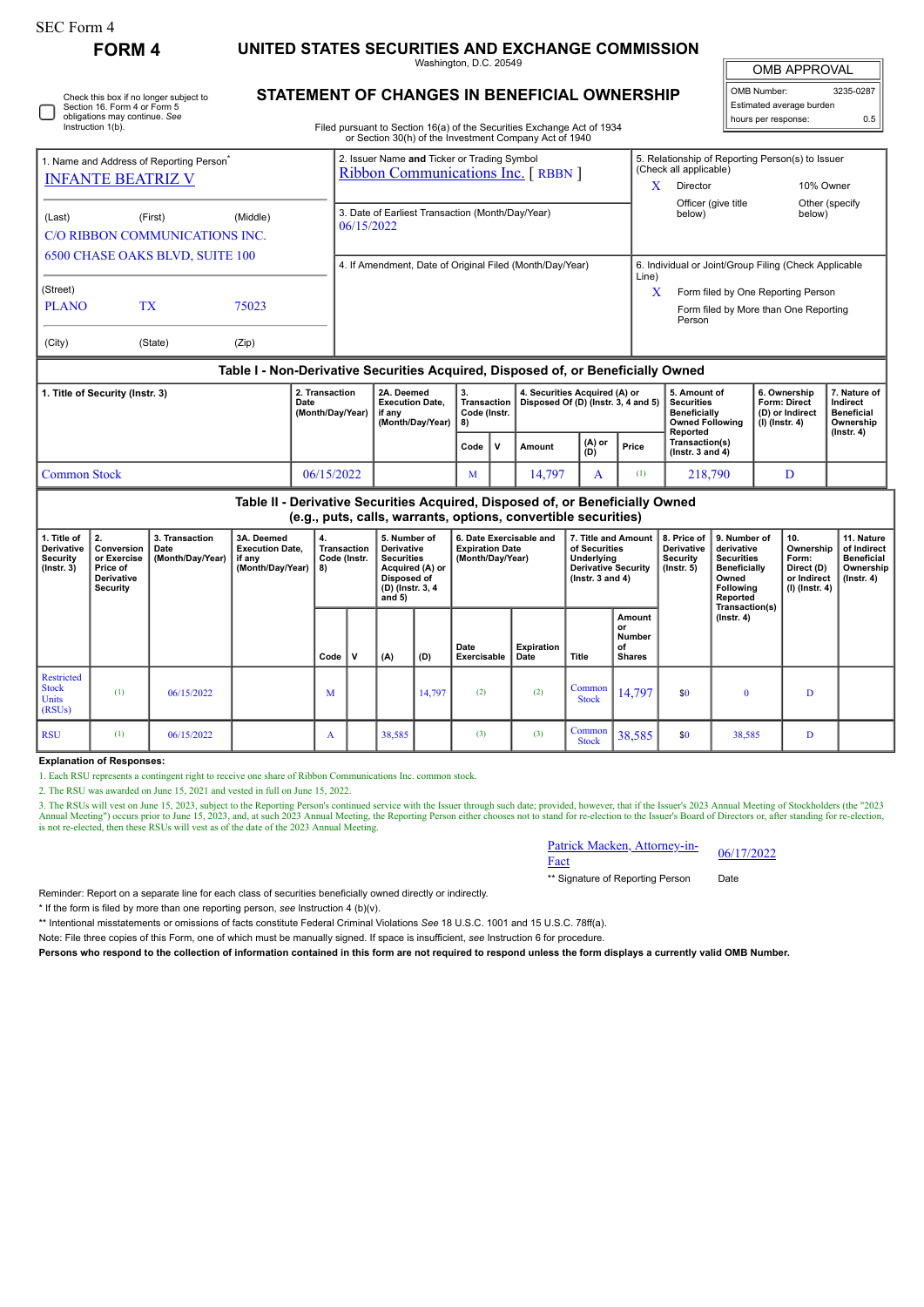| SEC Form 4                                                                                                                                | <b>FORM4</b>       |                                            | UNITED STATES SECURITIES AND EXCHANGE COMMISSION                                 |                                    |                                                                                                                                                                                  |        |                                                                                                                   |                                                |                                                                                                                                         |                                                                      |                                                                                                            |                                               |                                                                                                           |                                                                                                                            |                     |                                                                          |                                                                                 |  |
|-------------------------------------------------------------------------------------------------------------------------------------------|--------------------|--------------------------------------------|----------------------------------------------------------------------------------|------------------------------------|----------------------------------------------------------------------------------------------------------------------------------------------------------------------------------|--------|-------------------------------------------------------------------------------------------------------------------|------------------------------------------------|-----------------------------------------------------------------------------------------------------------------------------------------|----------------------------------------------------------------------|------------------------------------------------------------------------------------------------------------|-----------------------------------------------|-----------------------------------------------------------------------------------------------------------|----------------------------------------------------------------------------------------------------------------------------|---------------------|--------------------------------------------------------------------------|---------------------------------------------------------------------------------|--|
|                                                                                                                                           |                    |                                            |                                                                                  |                                    | Washington, D.C. 20549                                                                                                                                                           |        |                                                                                                                   |                                                |                                                                                                                                         |                                                                      |                                                                                                            |                                               |                                                                                                           |                                                                                                                            | <b>OMB APPROVAL</b> |                                                                          |                                                                                 |  |
| Check this box if no longer subject to<br>Section 16. Form 4 or Form 5<br>obligations may continue. See<br>Instruction 1(b).              |                    |                                            |                                                                                  |                                    | STATEMENT OF CHANGES IN BENEFICIAL OWNERSHIP<br>Filed pursuant to Section 16(a) of the Securities Exchange Act of 1934<br>or Section 30(h) of the Investment Company Act of 1940 |        |                                                                                                                   |                                                |                                                                                                                                         |                                                                      |                                                                                                            |                                               |                                                                                                           | OMB Number:<br>Estimated average burden<br>hours per response:                                                             |                     |                                                                          | 3235-0287<br>0.5                                                                |  |
| 1. Name and Address of Reporting Person <sup>®</sup><br><b>INFANTE BEATRIZ V</b>                                                          |                    |                                            |                                                                                  |                                    | 2. Issuer Name and Ticker or Trading Symbol<br>Ribbon Communications Inc. [RBBN ]                                                                                                |        |                                                                                                                   |                                                |                                                                                                                                         |                                                                      |                                                                                                            |                                               | 5. Relationship of Reporting Person(s) to Issuer<br>(Check all applicable)<br>X.<br>Director<br>10% Owner |                                                                                                                            |                     |                                                                          |                                                                                 |  |
| (Middle)<br>(Last)<br>(First)<br>C/O RIBBON COMMUNICATIONS INC.                                                                           |                    |                                            |                                                                                  |                                    | 3. Date of Earliest Transaction (Month/Day/Year)<br>06/15/2022                                                                                                                   |        |                                                                                                                   |                                                |                                                                                                                                         |                                                                      |                                                                                                            |                                               | Officer (give title<br>Other (specify<br>below)<br>below)                                                 |                                                                                                                            |                     |                                                                          |                                                                                 |  |
| <b>6500 CHASE OAKS BLVD, SUITE 100</b>                                                                                                    |                    |                                            |                                                                                  |                                    | 4. If Amendment, Date of Original Filed (Month/Day/Year)                                                                                                                         |        |                                                                                                                   |                                                |                                                                                                                                         |                                                                      |                                                                                                            |                                               | 6. Individual or Joint/Group Filing (Check Applicable                                                     |                                                                                                                            |                     |                                                                          |                                                                                 |  |
| (Street)<br><b>PLANO</b>                                                                                                                  | <b>TX</b><br>75023 |                                            |                                                                                  |                                    |                                                                                                                                                                                  |        |                                                                                                                   |                                                |                                                                                                                                         |                                                                      |                                                                                                            |                                               | Line)<br>X<br>Form filed by One Reporting Person<br>Form filed by More than One Reporting<br>Person       |                                                                                                                            |                     |                                                                          |                                                                                 |  |
| (City)                                                                                                                                    |                    | (State)                                    | (Zip)                                                                            |                                    |                                                                                                                                                                                  |        |                                                                                                                   |                                                |                                                                                                                                         |                                                                      |                                                                                                            |                                               |                                                                                                           |                                                                                                                            |                     |                                                                          |                                                                                 |  |
|                                                                                                                                           |                    |                                            | Table I - Non-Derivative Securities Acquired, Disposed of, or Beneficially Owned |                                    |                                                                                                                                                                                  |        |                                                                                                                   |                                                |                                                                                                                                         |                                                                      |                                                                                                            |                                               |                                                                                                           |                                                                                                                            |                     |                                                                          |                                                                                 |  |
| 1. Title of Security (Instr. 3)<br>Date                                                                                                   |                    |                                            |                                                                                  | 2. Transaction<br>(Month/Day/Year) | 2A. Deemed<br><b>Execution Date.</b><br>if anv                                                                                                                                   |        | (Month/Day/Year)                                                                                                  | 3.<br><b>Transaction</b><br>Code (Instr.<br>8) |                                                                                                                                         | 4. Securities Acquired (A) or<br>Disposed Of (D) (Instr. 3, 4 and 5) |                                                                                                            |                                               | 5. Amount of<br><b>Securities</b><br><b>Beneficially</b><br><b>Owned Following</b>                        |                                                                                                                            |                     | 6. Ownership<br>Form: Direct<br>(D) or Indirect<br>$(I)$ (Instr. 4)      | 7. Nature of<br>Indirect<br><b>Beneficial</b><br>Ownership                      |  |
|                                                                                                                                           |                    |                                            |                                                                                  |                                    |                                                                                                                                                                                  |        |                                                                                                                   | Code                                           | $\mathsf{v}$                                                                                                                            | Amount                                                               | (A) or<br>(D)                                                                                              | Price                                         | Reported<br>Transaction(s)<br>$($ lnstr. 3 and 4 $)$                                                      |                                                                                                                            |                     |                                                                          | $($ lnstr. 4 $)$                                                                |  |
| <b>Common Stock</b>                                                                                                                       |                    |                                            |                                                                                  | 06/15/2022                         |                                                                                                                                                                                  |        | M                                                                                                                 |                                                | 14,797<br>A                                                                                                                             |                                                                      | (1)                                                                                                        | 218,790                                       |                                                                                                           |                                                                                                                            | D                   |                                                                          |                                                                                 |  |
|                                                                                                                                           |                    |                                            | Table II - Derivative Securities Acquired, Disposed of, or Beneficially Owned    |                                    |                                                                                                                                                                                  |        |                                                                                                                   |                                                |                                                                                                                                         |                                                                      |                                                                                                            |                                               |                                                                                                           |                                                                                                                            |                     |                                                                          |                                                                                 |  |
| 2.<br>1. Title of<br>Derivative<br>Conversion<br>Security<br>or Exercise<br>$($ Instr. 3 $)$<br>Price of<br>Derivative<br><b>Security</b> |                    | 3. Transaction<br>Date<br>(Month/Day/Year) | 3A. Deemed<br><b>Execution Date,</b><br>if any<br>(Month/Day/Year)               | 4.<br>8)                           | Transaction<br>Code (Instr.                                                                                                                                                      |        | 5. Number of<br>Derivative<br><b>Securities</b><br>Acquired (A) or<br>Disposed of<br>(D) (Instr. 3, 4<br>and $5)$ |                                                | (e.g., puts, calls, warrants, options, convertible securities)<br>6. Date Exercisable and<br><b>Expiration Date</b><br>(Month/Day/Year) |                                                                      | 7. Title and Amount<br>of Securities<br>Underlying<br><b>Derivative Security</b><br>$($ lnstr. 3 and 4 $)$ |                                               | 8. Price of<br>Derivative<br><b>Security</b><br>$($ Instr. 5 $)$                                          | 9. Number of<br>derivative<br><b>Securities</b><br><b>Beneficially</b><br>Owned<br>Following<br>Reported<br>Transaction(s) |                     | 10.<br>Ownership<br>Form:<br>Direct (D)<br>or Indirect<br>(I) (Instr. 4) | 11. Nature<br>of Indirect<br><b>Beneficial</b><br>Ownership<br>$($ lnstr. 4 $)$ |  |
|                                                                                                                                           |                    |                                            |                                                                                  | Code                               | V                                                                                                                                                                                | (A)    | (D)                                                                                                               | Date<br>Exercisable                            |                                                                                                                                         | <b>Expiration</b><br>Date                                            | Title                                                                                                      | Amount<br>or<br>Number<br>of<br><b>Shares</b> |                                                                                                           | $($ lnstr. 4 $)$                                                                                                           |                     |                                                                          |                                                                                 |  |
| Restricted<br><b>Stock</b><br><b>Units</b><br>(RSUs)                                                                                      | (1)                | 06/15/2022                                 |                                                                                  | M                                  |                                                                                                                                                                                  |        | 14,797                                                                                                            | (2)                                            |                                                                                                                                         | (2)                                                                  | Common<br><b>Stock</b>                                                                                     | 14,797                                        | \$0                                                                                                       | $\bf{0}$                                                                                                                   |                     | D                                                                        |                                                                                 |  |
| <b>RSU</b>                                                                                                                                | (1)                | 06/15/2022                                 |                                                                                  | A                                  |                                                                                                                                                                                  | 38,585 |                                                                                                                   | (3)                                            |                                                                                                                                         | Common<br>(3)<br><b>Stock</b>                                        |                                                                                                            | 38,585                                        | \$0                                                                                                       | 38,585                                                                                                                     |                     | D                                                                        |                                                                                 |  |

**Explanation of Responses:**

1. Each RSU represents a contingent right to receive one share of Ribbon Communications Inc. common stock.

2. The RSU was awarded on June 15, 2021 and vested in full on June 15, 2022.

3. The RSUs will vest on June 15, 2023, subject to the Reporting Person's continued service with the Issuer through such date; provided, however, that if the Issuer's 2023 Annual Meeting of Stockholders (the "2023<br>Annual M

| Patrick Macken, Attorney-in- | 06/17/2022 |
|------------------------------|------------|
| Fact                         |            |

\*\* Signature of Reporting Person Date

Reminder: Report on a separate line for each class of securities beneficially owned directly or indirectly.

\* If the form is filed by more than one reporting person, *see* Instruction 4 (b)(v).

\*\* Intentional misstatements or omissions of facts constitute Federal Criminal Violations *See* 18 U.S.C. 1001 and 15 U.S.C. 78ff(a).

Note: File three copies of this Form, one of which must be manually signed. If space is insufficient, *see* Instruction 6 for procedure.

**Persons who respond to the collection of information contained in this form are not required to respond unless the form displays a currently valid OMB Number.**